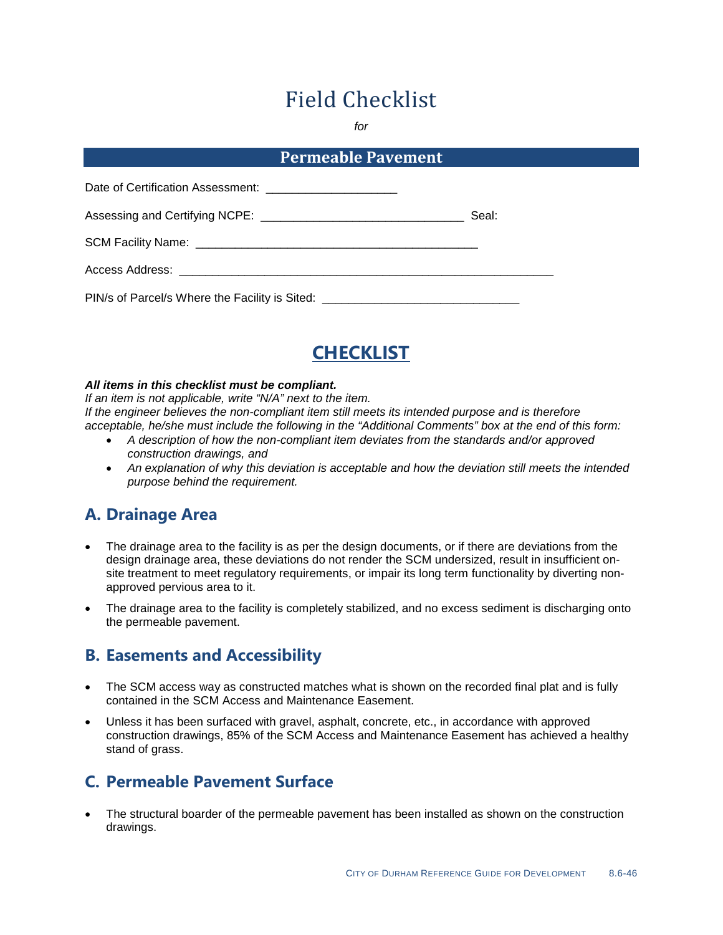# Field Checklist

*for*

#### **Permeable Pavement**

|                                                                                  | Seal: |
|----------------------------------------------------------------------------------|-------|
|                                                                                  |       |
|                                                                                  |       |
| PIN/s of Parcel/s Where the Facility is Sited: _________________________________ |       |



#### *All items in this checklist must be compliant.*

*If an item is not applicable, write "N/A" next to the item. If the engineer believes the non-compliant item still meets its intended purpose and is therefore acceptable, he/she must include the following in the "Additional Comments" box at the end of this form:*

- *A description of how the non-compliant item deviates from the standards and/or approved construction drawings, and*
- *An explanation of why this deviation is acceptable and how the deviation still meets the intended purpose behind the requirement.*

#### **A. Drainage Area**

- The drainage area to the facility is as per the design documents, or if there are deviations from the design drainage area, these deviations do not render the SCM undersized, result in insufficient onsite treatment to meet regulatory requirements, or impair its long term functionality by diverting nonapproved pervious area to it.
- The drainage area to the facility is completely stabilized, and no excess sediment is discharging onto the permeable pavement.

#### **B. Easements and Accessibility**

- The SCM access way as constructed matches what is shown on the recorded final plat and is fully contained in the SCM Access and Maintenance Easement.
- Unless it has been surfaced with gravel, asphalt, concrete, etc., in accordance with approved construction drawings, 85% of the SCM Access and Maintenance Easement has achieved a healthy stand of grass.

## **C. Permeable Pavement Surface**

• The structural boarder of the permeable pavement has been installed as shown on the construction drawings.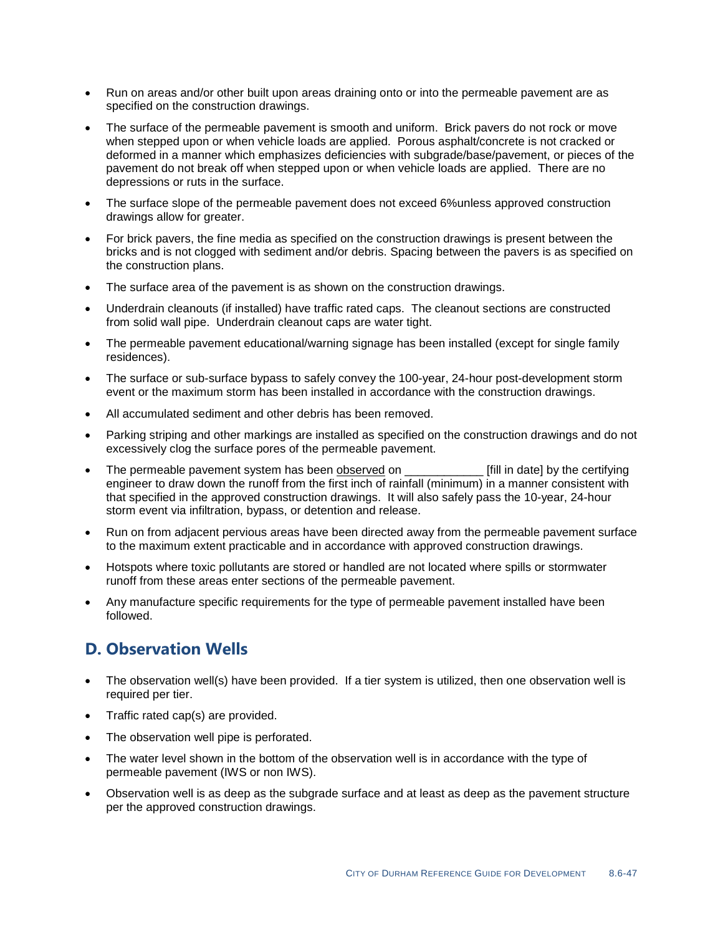- Run on areas and/or other built upon areas draining onto or into the permeable pavement are as specified on the construction drawings.
- The surface of the permeable pavement is smooth and uniform. Brick pavers do not rock or move when stepped upon or when vehicle loads are applied. Porous asphalt/concrete is not cracked or deformed in a manner which emphasizes deficiencies with subgrade/base/pavement, or pieces of the pavement do not break off when stepped upon or when vehicle loads are applied. There are no depressions or ruts in the surface.
- The surface slope of the permeable pavement does not exceed 6%unless approved construction drawings allow for greater.
- For brick pavers, the fine media as specified on the construction drawings is present between the bricks and is not clogged with sediment and/or debris. Spacing between the pavers is as specified on the construction plans.
- The surface area of the pavement is as shown on the construction drawings.
- Underdrain cleanouts (if installed) have traffic rated caps. The cleanout sections are constructed from solid wall pipe. Underdrain cleanout caps are water tight.
- The permeable pavement educational/warning signage has been installed (except for single family residences).
- The surface or sub-surface bypass to safely convey the 100-year, 24-hour post-development storm event or the maximum storm has been installed in accordance with the construction drawings.
- All accumulated sediment and other debris has been removed.
- Parking striping and other markings are installed as specified on the construction drawings and do not excessively clog the surface pores of the permeable pavement.
- The permeable pavement system has been observed on **Fill in date** by the certifying engineer to draw down the runoff from the first inch of rainfall (minimum) in a manner consistent with that specified in the approved construction drawings. It will also safely pass the 10-year, 24-hour storm event via infiltration, bypass, or detention and release.
- Run on from adjacent pervious areas have been directed away from the permeable pavement surface to the maximum extent practicable and in accordance with approved construction drawings.
- Hotspots where toxic pollutants are stored or handled are not located where spills or stormwater runoff from these areas enter sections of the permeable pavement.
- Any manufacture specific requirements for the type of permeable pavement installed have been followed.

## **D. Observation Wells**

- The observation well(s) have been provided. If a tier system is utilized, then one observation well is required per tier.
- Traffic rated cap(s) are provided.
- The observation well pipe is perforated.
- The water level shown in the bottom of the observation well is in accordance with the type of permeable pavement (IWS or non IWS).
- Observation well is as deep as the subgrade surface and at least as deep as the pavement structure per the approved construction drawings.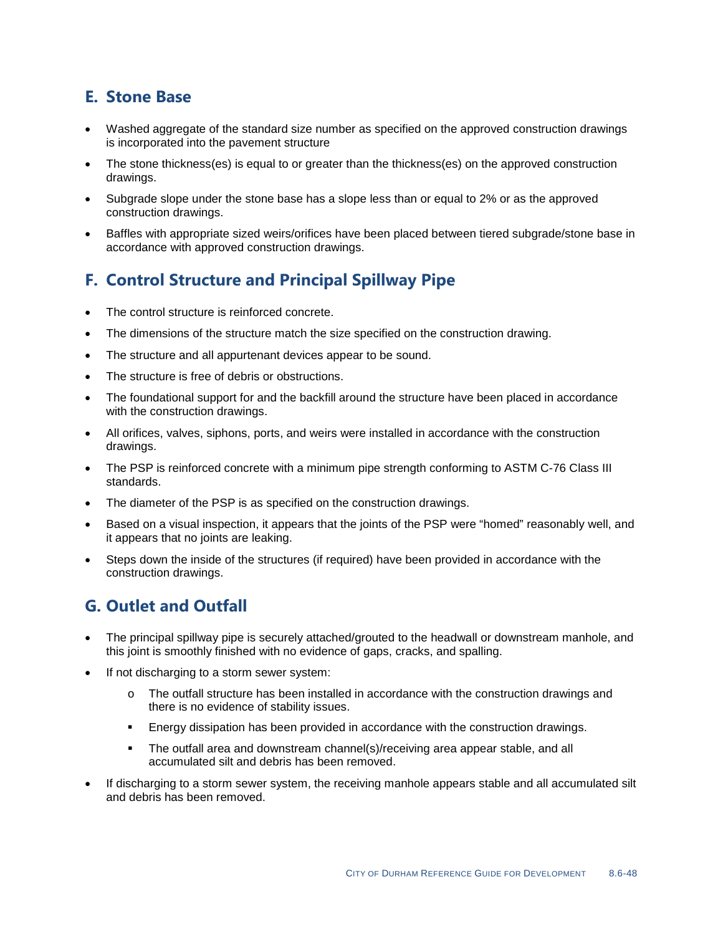# **E. Stone Base**

- Washed aggregate of the standard size number as specified on the approved construction drawings is incorporated into the pavement structure
- The stone thickness(es) is equal to or greater than the thickness(es) on the approved construction drawings.
- Subgrade slope under the stone base has a slope less than or equal to 2% or as the approved construction drawings.
- Baffles with appropriate sized weirs/orifices have been placed between tiered subgrade/stone base in accordance with approved construction drawings.

## **F. Control Structure and Principal Spillway Pipe**

- The control structure is reinforced concrete.
- The dimensions of the structure match the size specified on the construction drawing.
- The structure and all appurtenant devices appear to be sound.
- The structure is free of debris or obstructions.
- The foundational support for and the backfill around the structure have been placed in accordance with the construction drawings.
- All orifices, valves, siphons, ports, and weirs were installed in accordance with the construction drawings.
- The PSP is reinforced concrete with a minimum pipe strength conforming to ASTM C-76 Class III standards.
- The diameter of the PSP is as specified on the construction drawings.
- Based on a visual inspection, it appears that the joints of the PSP were "homed" reasonably well, and it appears that no joints are leaking.
- Steps down the inside of the structures (if required) have been provided in accordance with the construction drawings.

#### **G. Outlet and Outfall**

- The principal spillway pipe is securely attached/grouted to the headwall or downstream manhole, and this joint is smoothly finished with no evidence of gaps, cracks, and spalling.
- If not discharging to a storm sewer system:
	- o The outfall structure has been installed in accordance with the construction drawings and there is no evidence of stability issues.
	- Energy dissipation has been provided in accordance with the construction drawings.
	- The outfall area and downstream channel(s)/receiving area appear stable, and all accumulated silt and debris has been removed.
- If discharging to a storm sewer system, the receiving manhole appears stable and all accumulated silt and debris has been removed.